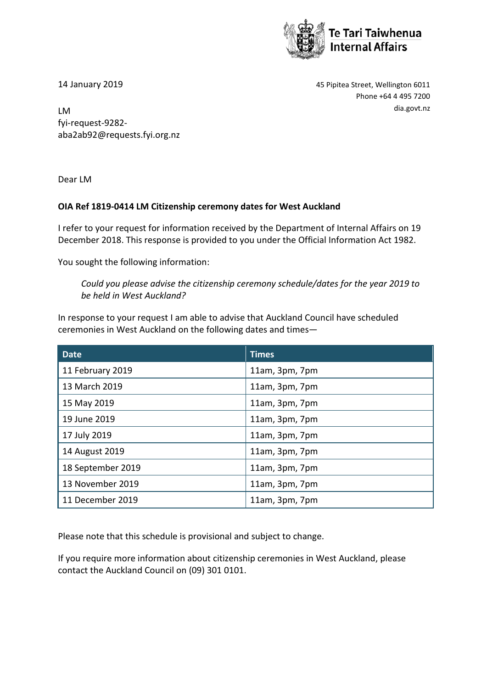

14 January 2019 45 Pipitea Street, Wellington 6011 Phone +64 4 495 7200

dia.govt.nz LM fyi-request-9282 aba2ab92@requests.fyi.org.nz

Dear LM

## **OIA Ref 1819-0414 LM Citizenship ceremony dates for West Auckland**

I refer to your request for information received by the Department of Internal Affairs on 19 December 2018. This response is provided to you under the Official Information Act 1982.

You sought the following information:

*Could you please advise the citizenship ceremony schedule/dates for the year 2019 to be held in West Auckland?*

In response to your request I am able to advise that Auckland Council have scheduled ceremonies in West Auckland on the following dates and times—

| <b>Date</b>       | <b>Times</b>   |
|-------------------|----------------|
| 11 February 2019  | 11am, 3pm, 7pm |
| 13 March 2019     | 11am, 3pm, 7pm |
| 15 May 2019       | 11am, 3pm, 7pm |
| 19 June 2019      | 11am, 3pm, 7pm |
| 17 July 2019      | 11am, 3pm, 7pm |
| 14 August 2019    | 11am, 3pm, 7pm |
| 18 September 2019 | 11am, 3pm, 7pm |
| 13 November 2019  | 11am, 3pm, 7pm |
| 11 December 2019  | 11am, 3pm, 7pm |

Please note that this schedule is provisional and subject to change.

If you require more information about citizenship ceremonies in West Auckland, please contact the Auckland Council on (09) 301 0101.